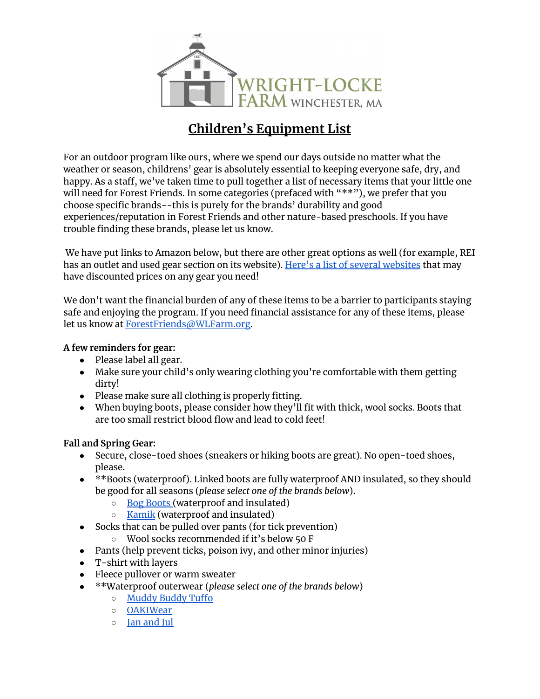

## **Children's Equipment List**

For an outdoor program like ours, where we spend our days outside no matter what the weather or season, childrens' gear is absolutely essential to keeping everyone safe, dry, and happy. As a staff, we've taken time to pull together a list of necessary items that your little one will need for Forest Friends. In some categories (prefaced with "\*\*"), we prefer that you choose specific brands--this is purely for the brands' durability and good experiences/reputation in Forest Friends and other nature-based preschools. If you have trouble finding these brands, please let us know.

We have put links to Amazon below, but there are other great options as well (for example, REI has an outlet and used gear section on its website). Here's a list of several [websites](https://bearfoottheory.com/where-to-buy-discounted-outdoor-gear/) that may have discounted prices on any gear you need!

We don't want the financial burden of any of these items to be a barrier to participants staying safe and enjoying the program. If you need financial assistance for any of these items, please let us know at [ForestFriends@WLFarm.org](mailto:ForestFriends@WLFarm.org).

## **A few reminders for gear:**

- Please label all gear.
- Make sure your child's only wearing clothing you're comfortable with them getting dirty!
- Please make sure all clothing is properly fitting.
- When buying boots, please consider how they'll fit with thick, wool socks. Boots that are too small restrict blood flow and lead to cold feet!

## **Fall and Spring Gear:**

- Secure, close-toed shoes (sneakers or hiking boots are great). No open-toed shoes, please.
- \*\*Boots (waterproof). Linked boots are fully waterproof AND insulated, so they should be good for all seasons (*please select one of the brands below*).
	- Bog [Boots](https://www.amazon.com/Bogs-Classic-Waterproof-Insulated-Neoprene/dp/B00H2UGJRY/ref=sr_1_1?dchild=1&keywords=insulated+neoprene+boots+bog&qid=1596568137&sr=8-1) (waterproof and insulated)
	- [Kamik](https://www.amazon.com/Kamik-Snobuster1-Toddler-Little-Black/dp/B00SJGIT5A/ref=sr_1_19?dchild=1&keywords=waterproof+insulated+boots+kids&qid=1596572558&sr=8-19) (waterproof and insulated)
- Socks that can be pulled over pants (for tick prevention)
	- Wool socks recommended if it's below 50 F
- Pants (help prevent ticks, poison ivy, and other minor injuries)
- T-shirt with layers
- Fleece pullover or warm sweater
- \*\*Waterproof outerwear (*please select one of the brands below*)
	- [Muddy](https://www.amazon.com/Tuffo-Unisex-Baby-Infant-Muddy-Coverall/dp/B009DKU6X4/ref=sr_1_1?dchild=1&keywords=muddy+buddy+tuffo&qid=1596567912&sr=8-1) Buddy Tuffo
	- [OAKIWear](https://www.amazon.com/Oakiwear-One-Piece-Waterproof-Trail-Celestial/dp/B00ZYUJDOA/ref=sr_1_2?dchild=1&keywords=oakiwear&qid=1596567987&sr=8-2)
	- Jan [and](https://www.amazon.com/stores/Jan+%26+Jul/page/3C4A8D27-E4B5-410A-B947-06BE65E7A605?ref_=ast_bln) Jul